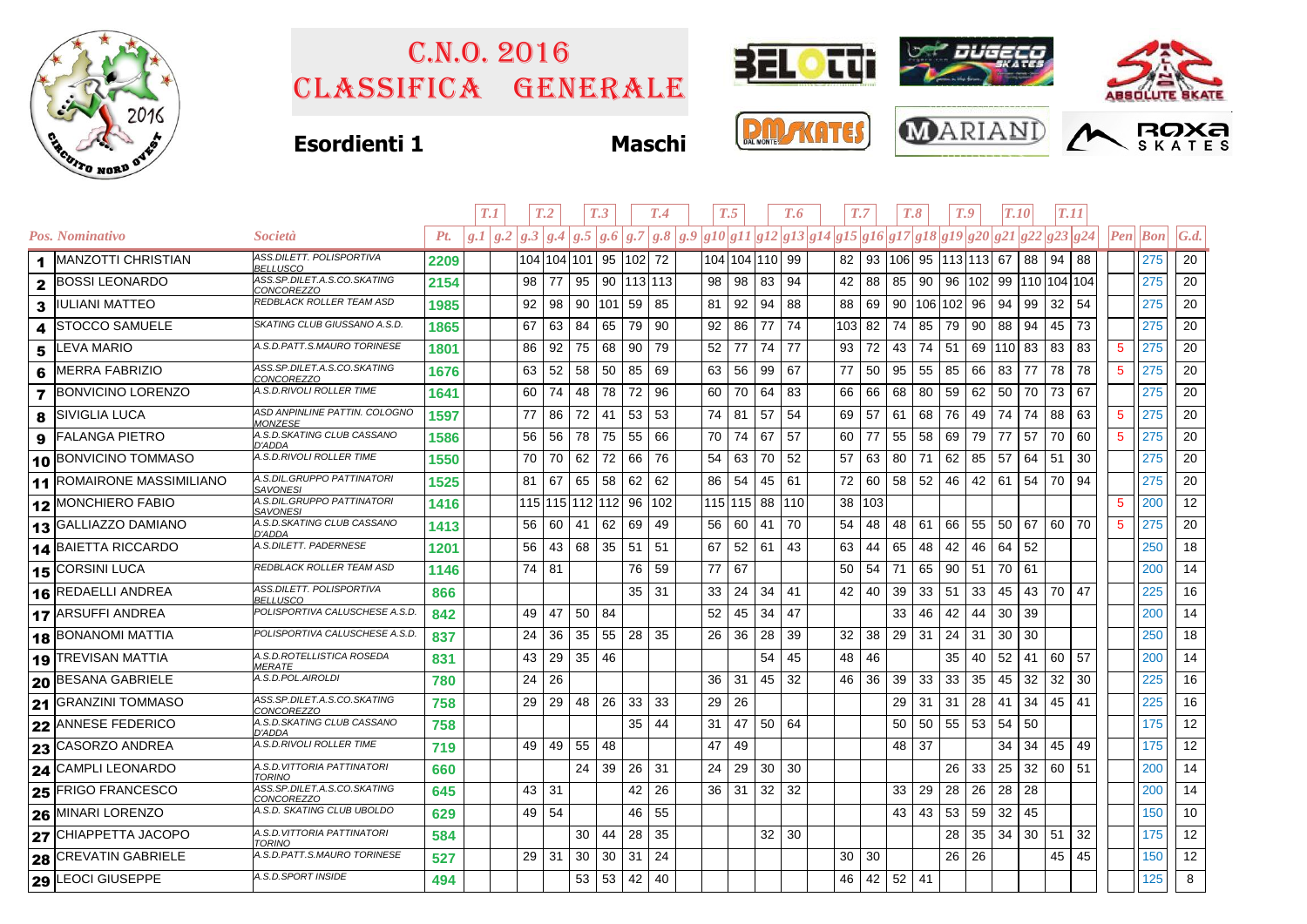

## Classifica generale C.n.o. 2016



## **Esordienti 1 Maschi**







|   |                                  |                                                  |      | T.1     |    | T <sub>.2</sub> |                 | T <sub>.3</sub>    |              | T.4 |                                                                                                                                                                                                                                                                                                                  | T.5             |                 | T.6   | T.7             |        | T.8           |               | T.9 |    | <b>T.10</b> |    | <b>T.11</b>        |    |                 |                                |                   |
|---|----------------------------------|--------------------------------------------------|------|---------|----|-----------------|-----------------|--------------------|--------------|-----|------------------------------------------------------------------------------------------------------------------------------------------------------------------------------------------------------------------------------------------------------------------------------------------------------------------|-----------------|-----------------|-------|-----------------|--------|---------------|---------------|-----|----|-------------|----|--------------------|----|-----------------|--------------------------------|-------------------|
|   | Pos. Nominativo                  | <i>Società</i>                                   | Pt.  | g.I/g.2 |    | g.3 g.4         |                 |                    |              |     | $\left  \,g. 5 \,   \,g. 6 \,   \,g. 7 \,   \,g. 8 \,   \,g. 9 \,   \,g10 \,   \,g11 \,   \,g12 \,   \,g13 \,   \,g14 \,   \,g15 \,   \,g16 \,   \,g17 \,   \,g18 \,   \,g19 \,   \,g20 \,   \,g21 \,   \,g22 \,   \,g23 \,   \,g24 \,   \,g22 \,   \,g23 \,   \,g24 \,   \,g21 \,   \,g22 \,   \,g23 \,   \,g2$ |                 |                 |       |                 |        |               |               |     |    |             |    |                    |    |                 | $\left  Pen\right $ <i>Bon</i> | $\mathcal{G}.d$ . |
|   | 1   MANZOTTI CHRISTIAN           | ASS.DILETT. POLISPORTIVA<br><b>BELLUSCO</b>      | 2209 |         |    | 104 104 101     |                 | 95 102 72          |              |     |                                                                                                                                                                                                                                                                                                                  |                 | 104 104 110 99  |       |                 |        | 82   93   106 | 95 113 113 67 |     |    |             | 88 | 94                 | 88 |                 | 275                            | 20                |
|   | 2 BOSSI LEONARDO                 | ASS.SP.DILET.A.S.CO.SKATING<br><i>CONCOREZZO</i> | 2154 |         | 98 | 77              |                 | 95 90 113 113      |              |     | 98                                                                                                                                                                                                                                                                                                               | 98 <sub>1</sub> | 83              | 94    | 42              | 88     | 85            | 90            | 96  |    |             |    | 102 99 110 104 104 |    |                 | 275                            | 20                |
|   | 3  IULIANI MATTEO                | REDBLACK ROLLER TEAM ASD                         | 1985 |         | 92 | 98              |                 | 90 101 59          |              | 85  | 81                                                                                                                                                                                                                                                                                                               | 92              | 94              | 88    | 88              | 69     | 90            | 106 102 96    |     |    | 94          | 99 | 32                 | 54 |                 | 275                            | 20                |
| 4 | <b>STOCCO SAMUELE</b>            | SKATING CLUB GIUSSANO A.S.D.                     | 1865 |         | 67 | 63              | 84              | 65                 | 79           | 90  | 92                                                                                                                                                                                                                                                                                                               | 86              | 77              | 74    | 103 82          |        | 74            | 85            | 79  | 90 | 88          | 94 | 45                 | 73 |                 | 275                            | 20                |
| 5 | <b>LEVA MARIO</b>                | A.S.D.PATT.S.MAURO TORINESE                      | 1801 |         | 86 | 92              | 75              | 68                 | 90           | 79  | 52                                                                                                                                                                                                                                                                                                               | 77              | 74              | 77    | 93              | 72     | 43            | 74            | 51  |    | 69 110      | 83 | 83                 | 83 | $\sqrt{5}$      | 275                            | 20                |
| 6 | <b>MERRA FABRIZIO</b>            | ASS.SP.DILET.A.S.CO.SKATING<br>CONCOREZZO        | 1676 |         | 63 | 52              | 58              | 50                 | 85           | 69  | 63                                                                                                                                                                                                                                                                                                               | 56              | 99              | 67    | 77              | 50     | 95            | 55            | 85  | 66 | 83          | 77 | 78                 | 78 | $5\phantom{.0}$ | 275                            | 20                |
|   | 7 BONVICINO LORENZO              | A.S.D.RIVOLI ROLLER TIME                         | 1641 |         | 60 | 74              | 48              | 78                 | 72           | 96  | 60                                                                                                                                                                                                                                                                                                               | 70              | 64              | 83    | 66              | 66     | 68            | 80            | 59  | 62 | 50          | 70 | 73                 | 67 |                 | 275                            | 20                |
| 8 | <b>SIVIGLIA LUCA</b>             | ASD ANPINLINE PATTIN. COLOGNO<br><b>MONZESE</b>  | 1597 |         | 77 | 86              | 72              | 41                 | 53           | 53  | 74                                                                                                                                                                                                                                                                                                               | 81              | 57              | 54    | 69              | 57     | 61            | 68            | 76  | 49 | 74          | 74 | 88                 | 63 | $\sqrt{5}$      | 275                            | 20                |
| 9 | <b>FALANGA PIETRO</b>            | A.S.D.SKATING CLUB CASSANO<br>D'ADDA             | 1586 |         | 56 | 56              | 78              | 75                 | 55           | 66  | 70                                                                                                                                                                                                                                                                                                               | 74              | 67              | 57    | 60              | 77     | 55            | 58            | 69  | 79 | 77          | 57 | 70                 | 60 | $\sqrt{5}$      | 275                            | 20                |
|   | 10 BONVICINO TOMMASO             | A.S.D.RIVOLI ROLLER TIME                         | 1550 |         | 70 | 70              | 62              | 72                 | 66           | 76  | 54                                                                                                                                                                                                                                                                                                               | 63              | 70              | 52    | 57              | 63     | 80            | 71            | 62  | 85 | 57          | 64 | 51                 | 30 |                 | 275                            | 20                |
|   | <b>11 ROMAIRONE MASSIMILIANO</b> | A.S.DIL.GRUPPO PATTINATORI<br><b>SAVONESI</b>    | 1525 |         | 81 | 67              | 65              | 58                 | 62           | 62  | 86                                                                                                                                                                                                                                                                                                               | 54              | 45              | 61    | 72              | 60     | 58            | 52            | 46  | 42 | 61          | 54 | 70                 | 94 |                 | 275                            | 20                |
|   | 12 MONCHIERO FABIO               | A.S.DIL.GRUPPO PATTINATORI<br><i>SAVONESI</i>    | 1416 |         |    |                 |                 | 115 115 112 112 96 |              | 102 |                                                                                                                                                                                                                                                                                                                  |                 | 115 115 88 110  |       |                 | 38 103 |               |               |     |    |             |    |                    |    | $\sqrt{5}$      | 200                            | 12                |
|   | 13 GALLIAZZO DAMIANO             | A.S.D.SKATING CLUB CASSANO<br>D'ADDA             | 1413 |         | 56 | 60              | 41              | 62                 | 69           | 49  | 56                                                                                                                                                                                                                                                                                                               | 60              | 41              | 70    | 54              | 48     | 48            | 61            | 66  | 55 | 50          | 67 | 60                 | 70 | $\sqrt{5}$      | 275                            | 20                |
|   | 14 BAIETTA RICCARDO              | A.S.DILETT. PADERNESE                            | 1201 |         | 56 | 43              | 68              | 35                 | -51          | 51  | 67                                                                                                                                                                                                                                                                                                               |                 | 52   61         | 43    | 63              | 44     | 65            | 48            | 42  | 46 | 64          | 52 |                    |    |                 | 250                            | 18                |
|   | 15 CORSINI LUCA                  | REDBLACK ROLLER TEAM ASD                         | 1146 |         | 74 | 81              |                 |                    | 76           | 59  | 77                                                                                                                                                                                                                                                                                                               | 67              |                 |       | 50              | 54     | 71            | 65            | 90  | 51 | 70          | 61 |                    |    |                 | 200                            | 14                |
|   | 16 REDAELLI ANDREA               | ASS.DILETT. POLISPORTIVA<br>BELLUSCO             | 866  |         |    |                 |                 |                    | $35 \mid 31$ |     | 33                                                                                                                                                                                                                                                                                                               | 24              | 34              | 41    | 42 <sub>1</sub> | 40     | 39            | 33   51       |     | 33 | 45          | 43 | 70                 | 47 |                 | 225                            | 16                |
|   | 17 ARSUFFI ANDREA                | POLISPORTIVA CALUSCHESE A.S.D.                   | 842  |         | 49 | 47              | 50   84         |                    |              |     | 52                                                                                                                                                                                                                                                                                                               | 45              | 34              | 47    |                 |        | 33            | 46            | 42  | 44 | 30          | 39 |                    |    |                 | 200                            | 14                |
|   | 18 BONANOMI MATTIA               | POLISPORTIVA CALUSCHESE A.S.D.                   | 837  |         | 24 | 36              | 35              | 55                 | 28           | 35  | 26                                                                                                                                                                                                                                                                                                               | 36              | 28              | 39    | 32              | 38     | 29            | 31            | 24  | 31 | 30          | 30 |                    |    |                 | 250                            | 18                |
|   | 19 TREVISAN MATTIA               | A.S.D.ROTELLISTICA ROSEDA<br><b>MERATE</b>       | 831  |         | 43 | 29              | 35              | 46                 |              |     |                                                                                                                                                                                                                                                                                                                  |                 | 54              | 45    | 48              | 46     |               |               | 35  | 40 | 52          | 41 | 60                 | 57 |                 | 200                            | 14                |
|   | 20 BESANA GABRIELE               | A.S.D.POL.AIROLDI                                | 780  |         | 24 | 26              |                 |                    |              |     | 36                                                                                                                                                                                                                                                                                                               | 31              | 45              | 32    | 46              | 36     | 39            | 33            | 33  | 35 | 45          | 32 | 32                 | 30 |                 | 225                            | 16                |
|   | 21 GRANZINI TOMMASO              | ASS.SP.DILET.A.S.CO.SKATING<br><u>CONCOREZZO</u> | 758  |         | 29 | 29              | 48              | 26                 | 33           | 33  | 29                                                                                                                                                                                                                                                                                                               | 26              |                 |       |                 |        | 29            | 31            | 31  | 28 | 41          | 34 | 45                 | 41 |                 | 225                            | 16                |
|   | 22 ANNESE FEDERICO               | A.S.D.SKATING CLUB CASSANO<br><b>D'ADDA</b>      | 758  |         |    |                 |                 |                    | 35           | 44  | 31                                                                                                                                                                                                                                                                                                               | 47              |                 | 50 64 |                 |        | 50            | 50            | 55  | 53 | 54          | 50 |                    |    |                 | 175                            | 12                |
|   | 23 CASORZO ANDREA                | A.S.D.RIVOLI ROLLER TIME                         | 719  |         | 49 | 49              | 55              | 48                 |              |     | 47                                                                                                                                                                                                                                                                                                               | 49              |                 |       |                 |        | 48            | 37            |     |    | 34          | 34 | 45                 | 49 |                 | 175                            | 12                |
|   | 24 CAMPLI LEONARDO               | A.S.D. VITTORIA PATTINATORI<br><b>TORINO</b>     | 660  |         |    |                 | 24              | 39                 | 26           | 31  | 24                                                                                                                                                                                                                                                                                                               | 29              | 30              | 30    |                 |        |               |               | 26  | 33 | 25          | 32 | 60                 | 51 |                 | 200                            | 14                |
|   | 25 FRIGO FRANCESCO               | ASS.SP.DILET.A.S.CO.SKATING<br>CONCOREZZO        | 645  |         | 43 | -31             |                 |                    | 42           | 26  | 36                                                                                                                                                                                                                                                                                                               | 31              | 32              | 32    |                 |        | 33            | 29            | 28  | 26 | 28          | 28 |                    |    |                 | 200                            | 14                |
|   | 26 MINARI LORENZO                | A.S.D. SKATING CLUB UBOLDO                       | 629  |         | 49 | 54              |                 |                    | 46           | 55  |                                                                                                                                                                                                                                                                                                                  |                 |                 |       |                 |        | 43            | 43            | 53  | 59 | 32          | 45 |                    |    |                 | 150                            | 10                |
|   | 27 CHIAPPETTA JACOPO             | A.S.D. VITTORIA PATTINATORI<br><b>TORINO</b>     | 584  |         |    |                 | 30              | 44                 | 28           | 35  |                                                                                                                                                                                                                                                                                                                  |                 | 32 <sup>2</sup> | 30    |                 |        |               |               | 28  | 35 | 34          | 30 | 51                 | 32 |                 | 175                            | 12                |
|   | 28 CREVATIN GABRIELE             | A.S.D.PATT.S.MAURO TORINESE                      | 527  |         | 29 | -31             | 30              | 30                 | 31           | -24 |                                                                                                                                                                                                                                                                                                                  |                 |                 |       | 30 <sub>1</sub> | 30     |               |               | 26  | 26 |             |    | 45                 | 45 |                 | 150                            | 12                |
|   | 29 LEOCI GIUSEPPE                | A.S.D.SPORT INSIDE                               | 494  |         |    |                 | 53 <sup>1</sup> | $53 \mid 42$       |              | 40  |                                                                                                                                                                                                                                                                                                                  |                 |                 |       | 46              | 42     | 52            | -41           |     |    |             |    |                    |    |                 | 125                            | 8                 |